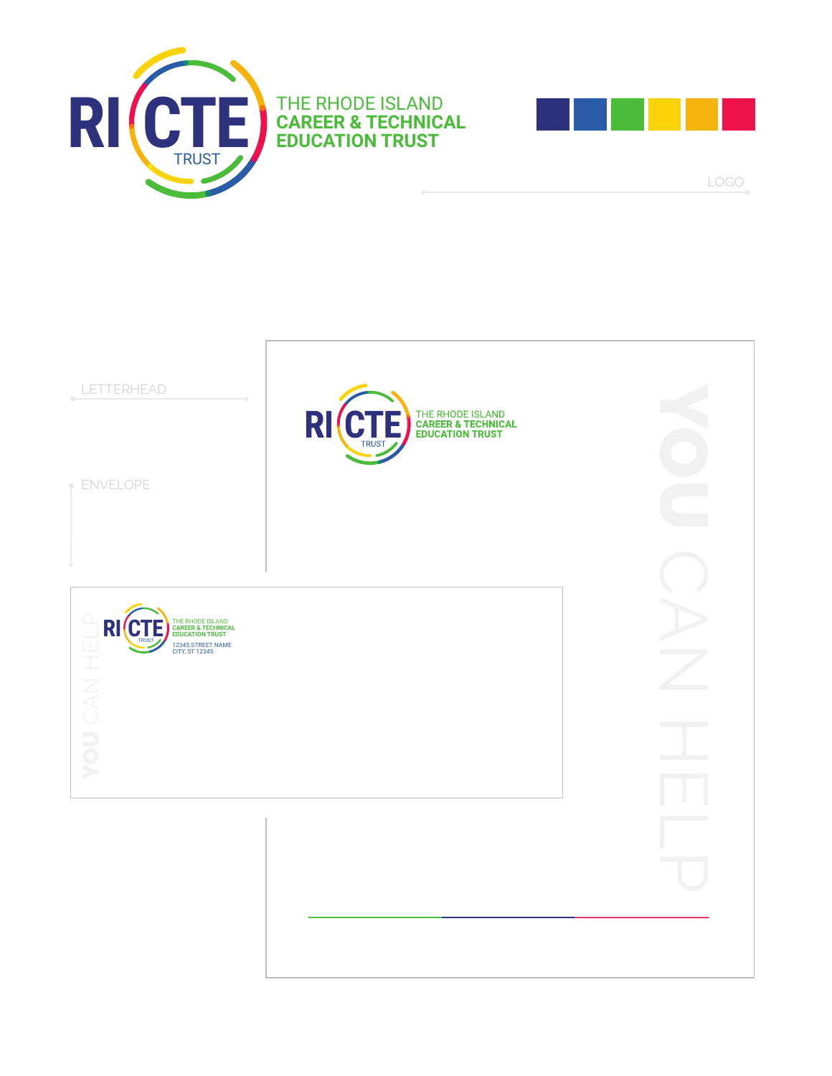





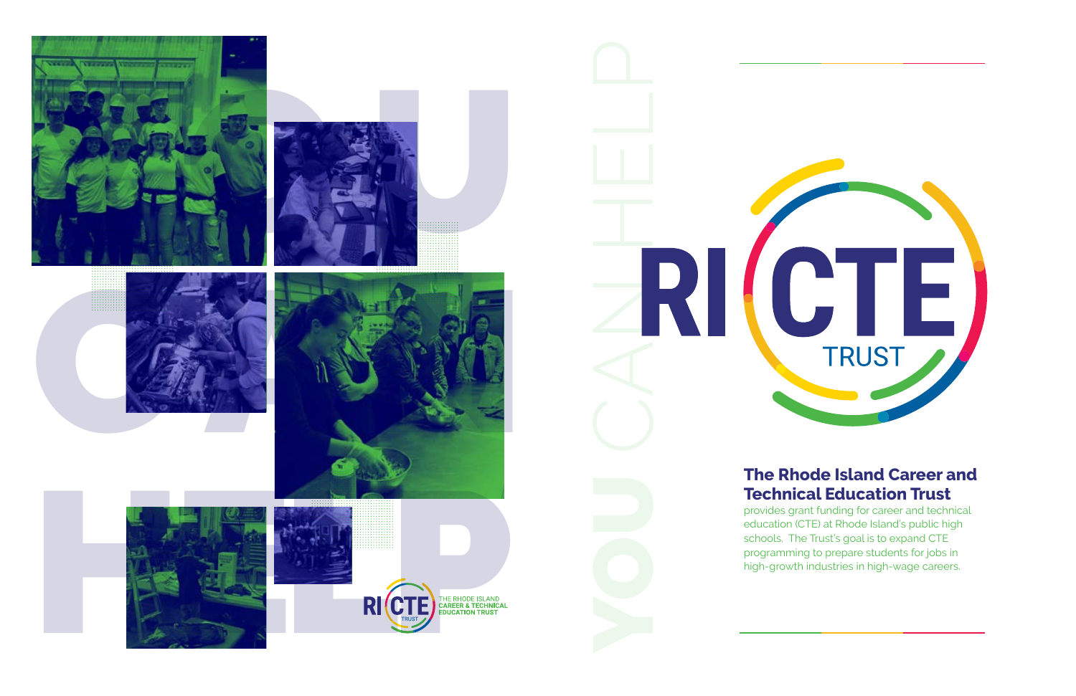













### **The Rhode Island Career and Technical Education Trust**

provides grant funding for career and technical education (CTE) at Rhode Island's public high schools. The Trust's goal is to expand CTE programming to prepare students for jobs in high-growth industries in high-wage careers.

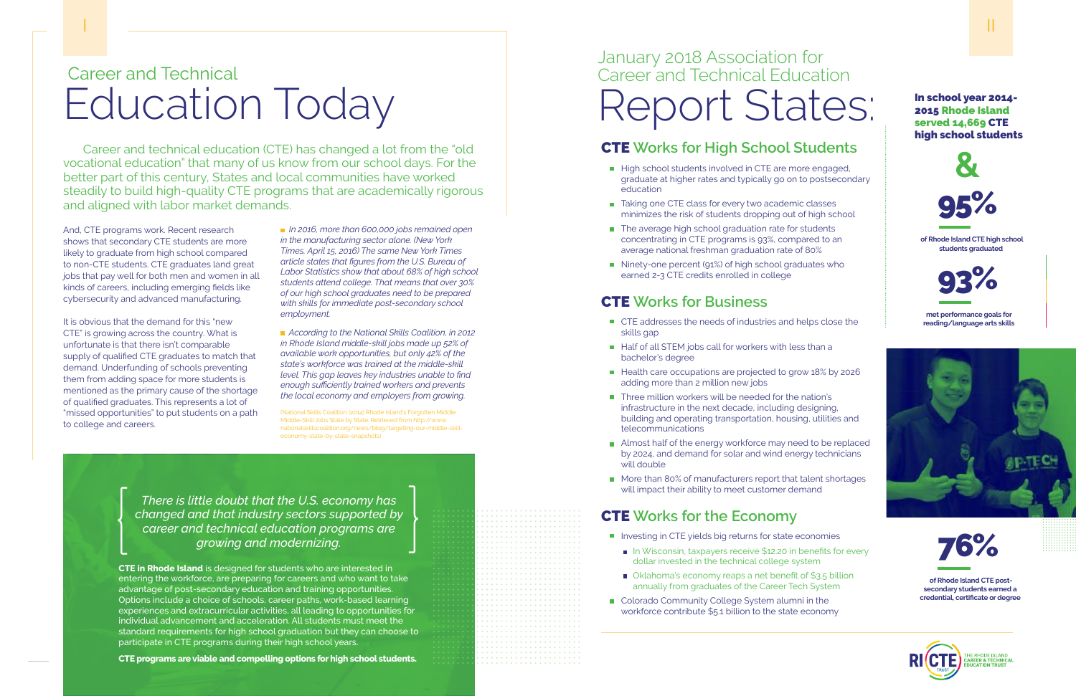### CTE **Works for High School Students**

- High school students involved in CTE are more engaged, graduate at higher rates and typically go on to postsecondary education
- Taking one CTE class for every two academic classes minimizes the risk of students dropping out of high school
- The average high school graduation rate for students concentrating in CTE programs is 93%, compared to an average national freshman graduation rate of 80%
- Ninety-one percent (91%) of high school graduates who earned 2-3 CTE credits enrolled in college

#### CTE **Works for Business**

- CTE addresses the needs of industries and helps close the skills gap
- Half of all STEM jobs call for workers with less than a bachelor's degree
- $\blacksquare$  Health care occupations are projected to grow 18% by 2026 adding more than 2 million new jobs
- Three million workers will be needed for the nation's infrastructure in the next decade, including designing, building and operating transportation, housing, utilities and telecommunications
- Almost half of the energy workforce may need to be replaced by 2024, and demand for solar and wind energy technicians will double
- More than 80% of manufacturers report that talent shortages will impact their ability to meet customer demand

- **Investing in CTE yields big returns for state economies** 
	- In Wisconsin, taxpayers receive \$12.20 in benefits for every dollar invested in the technical college system
	- Oklahoma's economy reaps a net benefit of \$3.5 billion annually from graduates of the Career Tech System
- Colorado Community College System alumni in the workforce contribute \$5.1 billion to the state economy

## January 2018 Association for Career and Technical Education Report States: In school year 2014-

:::::::::::::::::::::

### CTE **Works for the Economy**

*There is little doubt that the U.S. economy has changed and that industry sectors supported by career and technical education programs are growing and modernizing.* There is little doubt that the U.S. economy has<br>changed and that industry sectors supported by<br>career and technical education programs are<br>growing and modernizing. 2015 Rhode Island served 14,669 CTE high school students

 **of Rhode Island CTE high school students graduated**

 **met performance goals for reading/language arts skills**



 **of Rhode Island CTE postsecondary students earned a credential, certificate or degree**



AREER & TECHNICAL<br>NUCATION TRUST









## Career and Technical Education Today

Career and technical education (CTE) has changed a lot from the "old vocational education" that many of us know from our school days. For the better part of this century, States and local communities have worked steadily to build high-quality CTE programs that are academically rigorous and aligned with labor market demands.

> Skills Coalition (2014) Rhode Island's Forgotte Middle-Skill Jobs State by State. Retrieved from http://www. nationalskillscoalition.org/news/blog/targeting-our-middle-skilleconomy-state-by-state-snapshots)

**CTE in Rhode Island** is designed for students who are interested in entering the workforce, are preparing for careers and who want to take advantage of post-secondary education and training opportunities. Options include a choice of schools, career paths, work-based learning experiences and extracurricular activities, all leading to opportunities for individual advancement and acceleration. All students must meet the standard requirements for high school graduation but they can choose to participate in CTE programs during their high school years.

**CTE programs are viable and compelling options for high school students.** 

And, CTE programs work. Recent research shows that secondary CTE students are more likely to graduate from high school compared to non-CTE students. CTE graduates land great jobs that pay well for both men and women in all kinds of careers, including emerging fields like cybersecurity and advanced manufacturing.

It is obvious that the demand for this "new CTE" is growing across the country. What is unfortunate is that there isn't comparable supply of qualified CTE graduates to match that demand. Underfunding of schools preventing them from adding space for more students is mentioned as the primary cause of the shortage of qualified graduates. This represents a lot of "missed opportunities" to put students on a path to college and careers.

 *In 2016, more than 600,000 jobs remained open in the manufacturing sector alone. (New York Times, April 15, 2016) The same New York Times article states that figures from the U.S. Bureau of Labor Statistics show that about 68% of high school students attend college. That means that over 30% of our high school graduates need to be prepared with skills for immediate post-secondary school employment.* 

 *According to the National Skills Coalition, in 2012 in Rhode Island middle-skill jobs made up 52% of available work opportunities, but only 42% of the state's workforce was trained at the middle-skill level. This gap leaves key industries unable to find enough sufficiently trained workers and prevents the local economy and employers from growing.*

I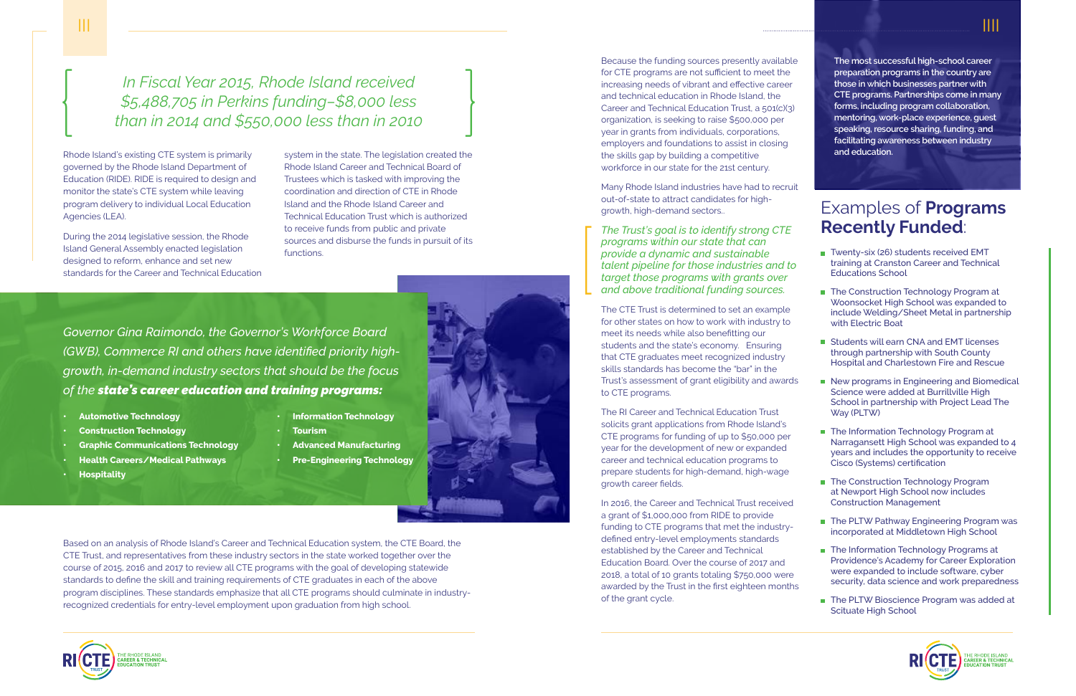

*The Trust's goal is to identify strong CTE programs within our state that can provide a dynamic and sustainable talent pipeline for those industries and to target those programs with grants over and above traditional funding sources.*   $\begin{bmatrix} \phantom{-} \end{bmatrix}$ 

Many Rhode Island industries have had to recruit out-of-state to attract candidates for highgrowth, high-demand sectors..

The CTE Trust is determined to set an example for other states on how to work with industry to meet its needs while also benefitting our students and the state's economy. Ensuring that CTE graduates meet recognized industry skills standards has become the "bar" in the Trust's assessment of grant eligibility and awards to CTE programs.

The RI Career and Technical Education Trust solicits grant applications from Rhode Island's CTE programs for funding of up to \$50,000 per year for the development of new or expanded career and technical education programs to prepare students for high-demand, high-wage growth career fields.

In 2016, the Career and Technical Trust received a grant of \$1,000,000 from RIDE to provide funding to CTE programs that met the industrydefined entry-level employments standards established by the Career and Technical Education Board. Over the course of 2017 and 2018, a total of 10 grants totaling \$750,000 were awarded by the Trust in the first eighteen months of the grant cycle.



**The most successful high-school career preparation programs in the country are those in which businesses partner with CTE programs. Partnerships come in many forms, including program collaboration, mentoring, work-place experience, guest speaking, resource sharing, funding, and facilitating awareness between industry and education.** 

*In Fiscal Year 2015, Rhode Island received \$5,488,705 in Perkins funding–\$8,000 less than in 2014 and \$550,000 less than in 2010* In Fiscal Year 2015, Rhode Island received<br>\$5,488,705 in Perkins funding-\$8,000 less<br>than in 2014 and \$550,000 less than in 2010

- Examples of **Programs Recently Funded**:
- Twenty-six (26) students received EMT training at Cranston Career and Technical Educations School
- The Construction Technology Program at Woonsocket High School was expanded to include Welding/Sheet Metal in partnership with Electric Boat
- **Students will earn CNA and EMT licenses** through partnership with South County Hospital and Charlestown Fire and Rescue
- New programs in Engineering and Biomedical Science were added at Burrillville High School in partnership with Project Lead The Way (PLTW)
	- **The Information Technology Program at** Narragansett High School was expanded to 4 years and includes the opportunity to receive Cisco (Systems) certification
	- The Construction Technology Program at Newport High School now includes Construction Management
	- The PLTW Pathway Engineering Program was incorporated at Middletown High School
	- **The Information Technology Programs at** Providence's Academy for Career Exploration were expanded to include software, cyber security, data science and work preparedness
	- The PLTW Bioscience Program was added at Scituate High School



Rhode Island's existing CTE system is primarily governed by the Rhode Island Department of Education (RIDE). RIDE is required to design and monitor the state's CTE system while leaving program delivery to individual Local Education Agencies (LEA).

During the 2014 legislative session, the Rhode Island General Assembly enacted legislation designed to reform, enhance and set new standards for the Career and Technical Education

Based on an analysis of Rhode Island's Career and Technical Education system, the CTE Board, the CTE Trust, and representatives from these industry sectors in the state worked together over the course of 2015, 2016 and 2017 to review all CTE programs with the goal of developing statewide standards to define the skill and training requirements of CTE graduates in each of the above program disciplines. These standards emphasize that all CTE programs should culminate in industryrecognized credentials for entry-level employment upon graduation from high school.

- **• Automotive Technology**
- **• Construction Technology**
- **• Graphic Communications Technology**
- **• Health Careers/Medical Pathways**
- **• Hospitality**
- **• Information Technology • Tourism**
- **• Advanced Manufacturing**
- **• Pre-Engineering Technology**

*Governor Gina Raimondo, the Governor's Workforce Board (GWB), Commerce RI and others have identified priority highgrowth, in-demand industry sectors that should be the focus of the state's career education and training programs:*

system in the state. The legislation created the Rhode Island Career and Technical Board of Trustees which is tasked with improving the coordination and direction of CTE in Rhode Island and the Rhode Island Career and Technical Education Trust which is authorized to receive funds from public and private sources and disburse the funds in pursuit of its functions.

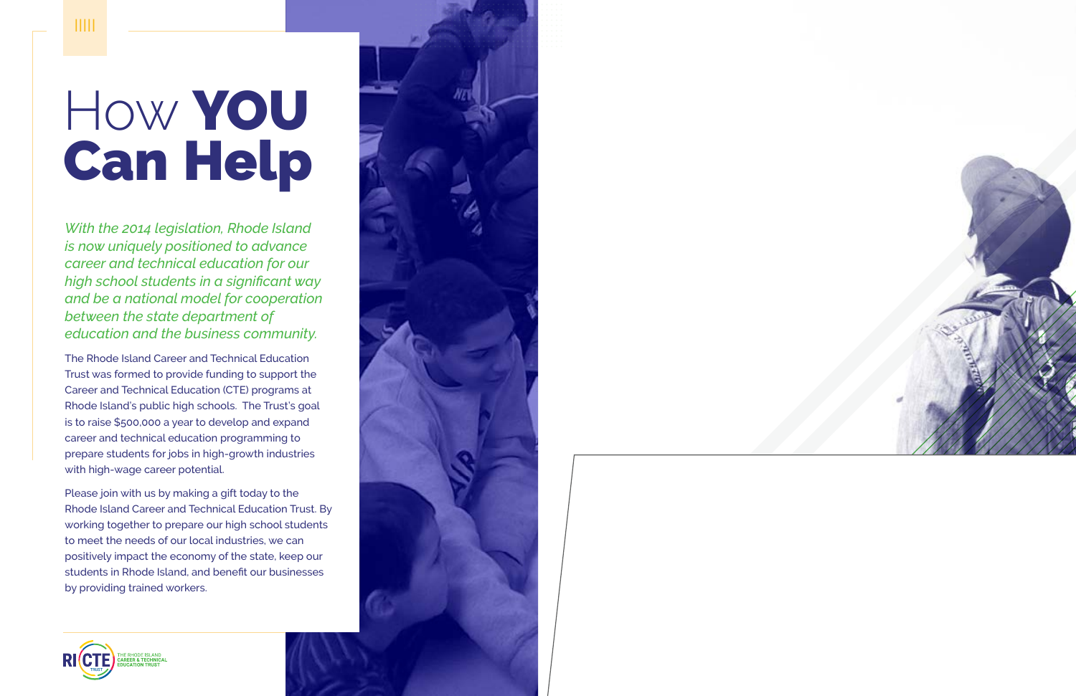# How YOU Can Help

*With the 2014 legislation, Rhode Island is now uniquely positioned to advance career and technical education for our high school students in a significant way and be a national model for cooperation between the state department of education and the business community.*

The Rhode Island Career and Technical Education Trust was formed to provide funding to support the Career and Technical Education (CTE) programs at Rhode Island's public high schools. The Trust's goal is to raise \$500,000 a year to develop and expand career and technical education programming to prepare students for jobs in high-growth industries with high-wage career potential.

Please join with us by making a gift today to the Rhode Island Career and Technical Education Trust. By working together to prepare our high school students to meet the needs of our local industries, we can positively impact the economy of the state, keep our students in Rhode Island, and benefit our businesses by providing trained workers.





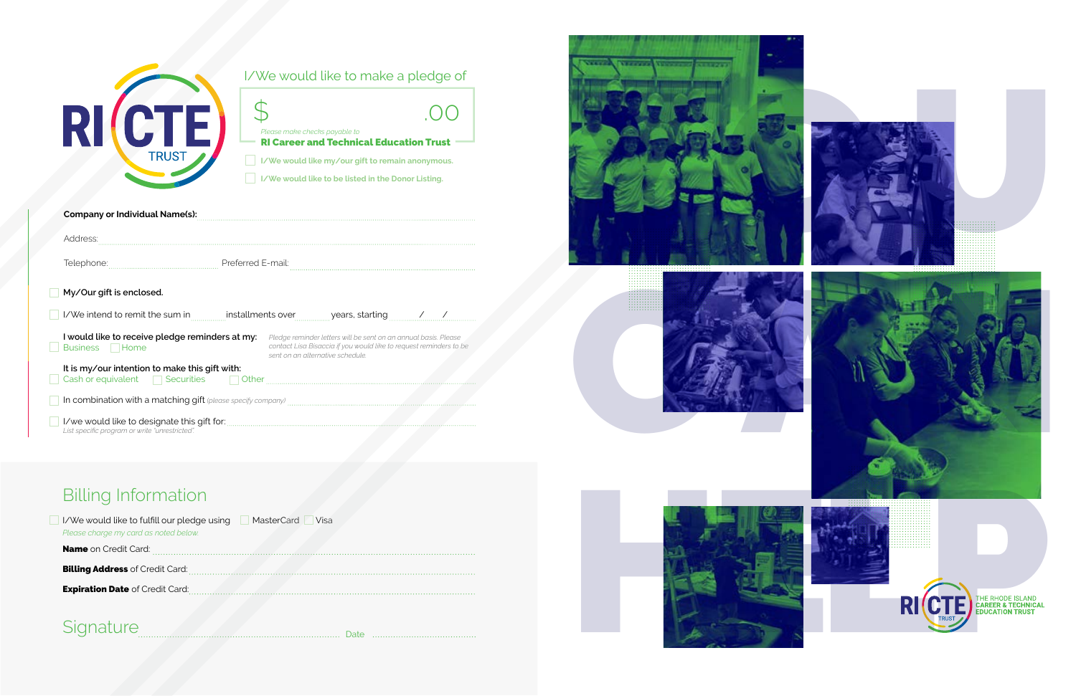### Billing Information

| MasterCard<br>I/We would like to fulfill our pledge using<br>Visa<br>Please charge my card as noted below. |  |
|------------------------------------------------------------------------------------------------------------|--|
| <b>Name</b> on Credit Card:                                                                                |  |
| <b>Billing Address of Credit Card:</b>                                                                     |  |
| <b>Expiration Date of Credit Card:</b>                                                                     |  |
|                                                                                                            |  |

### Signature Date Date Date Discourses



| <b>PII</b><br><b>TRUST</b>                                                                                              | Please make checks payable to | <b>RI Career and Technical Education Trust</b><br>I/We would like my/our gift to remain anonymous.<br>I/We would like to be listed in the Donor Listing.                  |  |
|-------------------------------------------------------------------------------------------------------------------------|-------------------------------|---------------------------------------------------------------------------------------------------------------------------------------------------------------------------|--|
| <b>Company or Individual Name(s):</b>                                                                                   |                               |                                                                                                                                                                           |  |
| Address:                                                                                                                |                               |                                                                                                                                                                           |  |
|                                                                                                                         |                               |                                                                                                                                                                           |  |
| My/Our gift is enclosed.                                                                                                |                               |                                                                                                                                                                           |  |
| I/We intend to remit the sum in <b>Example 12</b> installments over years, starting the manuscription of the sum of the |                               |                                                                                                                                                                           |  |
| I would like to receive pledge reminders at my:<br>Business <b>Home</b>                                                 |                               | Pledge reminder letters will be sent on an annual basis. Please<br>contact Lisa Bisaccia if you would like to request reminders to be<br>sent on an alternative schedule. |  |
| It is my/our intention to make this gift with:<br>Cash or equivalent GSecurities Gother Cash or equivalent GSEC         |                               |                                                                                                                                                                           |  |
| In combination with a matching gift (please specify company)                                                            |                               |                                                                                                                                                                           |  |
| List specific program or write "unrestricted".                                                                          |                               |                                                                                                                                                                           |  |

| - 2 | <b>TRUST</b> |
|-----|--------------|
|     |              |

### I/We would like to make a pledge of

. . . . . . . .

. . . . . . .



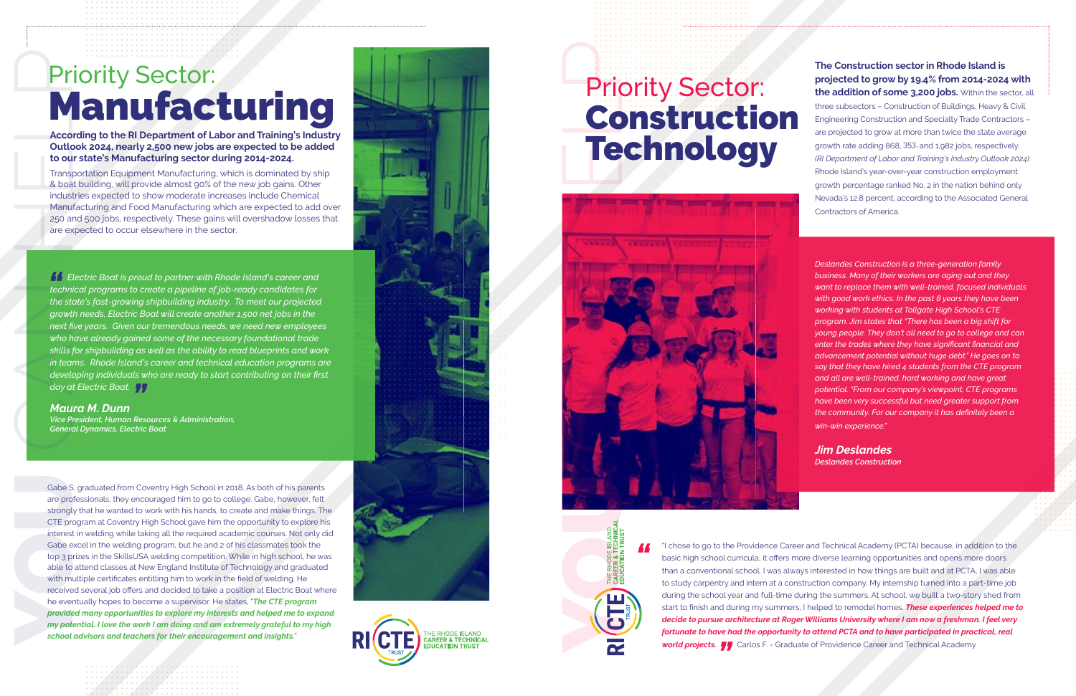"I chose to go to the Providence Career and Technical Academy (PCTA) because, in addition to the basic high school curricula, it offers more diverse learning opportunities and opens more doors than a conventional school. I was always interested in how things are built and at PCTA, I was able to study carpentry and intern at a construction company. My internship turned into a part-time job during the school year and full-time during the summers. At school, we built a two-story shed from start to finish and during my summers, I helped to remodel homes. *These experiences helped me to decide to pursue architecture at Roger Williams University where I am now a freshman. I feel very fortunate to have had the opportunity to attend PCTA and to have participated in practical, real* **world projects.<br>[2015] <b>Projects. [2016** Carlos F. - Graduate of Providence Career and Technical Academy **world projects. J.** Carlos F. - Graduate of Providence Career and Technical Academy

**The Construction sector in Rhode Island is projected to grow by 19.4% from 2014-2024 with the addition of some 3,200 jobs.** Within the sector, all

three subsectors – Construction of Buildings, Heavy & Civil Engineering Construction and Specialty Trade Contractors – are projected to grow at more than twice the state average growth rate adding 868, 353, and 1,982 jobs, respectively. *(RI Department of Labor and Training's Industry Outlook 2024)*. Rhode Island's year-over-year construction employment growth percentage ranked No. 2 in the nation behind only Nevada's 12.8 percent, according to the Associated General Contractors of America.

*technical programs to create a pipeline of job-ready candidates for the state's fast-growing shipbuilding industry. To meet our projected growth needs, Electric Boat will create another 1,500 net jobs in the next five years. Given our tremendous needs, we need new employees who have already gained some of the necessary foundational trade skills for shipbuilding as well as the ability to read blueprints and work in teams. Rhode Island's career and technical education programs are*  developing individuals who are ready to start contributing on their first<br>day at Electric Boat. <mark>J</mark> *day at Electric Boat. I* Electric Boat is proud to partner with Rhode Island's career and

# Priority Sector: Manufacturing

**According to the RI Department of Labor and Training's Industry Outlook 2024, nearly 2,500 new jobs are expected to be added to our state's Manufacturing sector during 2014-2024.**

Transportation Equipment Manufacturing, which is dominated by ship & boat building, will provide almost 90% of the new job gains. Other industries expected to show moderate increases include Chemical Manufacturing and Food Manufacturing which are expected to add over 250 and 500 jobs, respectively. These gains will overshadow losses that are expected to occur elsewhere in the sector.

#### *Maura M. Dunn*

*Vice President, Human Resources & Administration, General Dynamics, Electric Boat* 

Gabe S. graduated from Coventry High School in 2018. As both of his parents are professionals, they encouraged him to go to college. Gabe, however, felt strongly that he wanted to work with his hands, to create and make things. The CTE program at Coventry High School gave him the opportunity to explore his interest in welding while taking all the required academic courses. Not only did Gabe excel in the welding program, but he and 2 of his classmates took the top 3 prizes in the SkillsUSA welding competition. While in high school, he was able to attend classes at New England Institute of Technology and graduated with multiple certificates entitling him to work in the field of welding. He received several job offers and decided to take a position at Electric Boat where he eventually hopes to become a supervisor. He states, "*The CTE program provided many opportunities to explore my interests and helped me to expand my potential. I love the work I am doing and am extremely grateful to my high school advisors and teachers for their encouragement and insights.* " **Priority Section:**<br>According to the RI Department of Laborard Training's Induction and Control of the RI Department of Laborating sector during 2014-2024.<br>Transportation Equipment Manufacturing sector during 2014-2024.<br>Tr









*Deslandes Construction is a three-generation family business. Many of their workers are aging out and they want to replace them with well-trained, focused individuals with good work ethics. In the past 8 years they have been working with students at Tollgate High School's CTE program. Jim states that "There has been a big shift for young people. They don't all need to go to college and can enter the trades where they have significant financial and advancement potential without huge debt." He goes on to say that they have hired 4 students from the CTE program and all are well-trained, hard working and have great potential. "From our company's viewpoint, CTE programs have been very successful but need greater support from the community. For our company it has definitely been a win-win experience."* 

*Jim Deslandes Deslandes Construction* 

# Priority Sector: Construction Technology